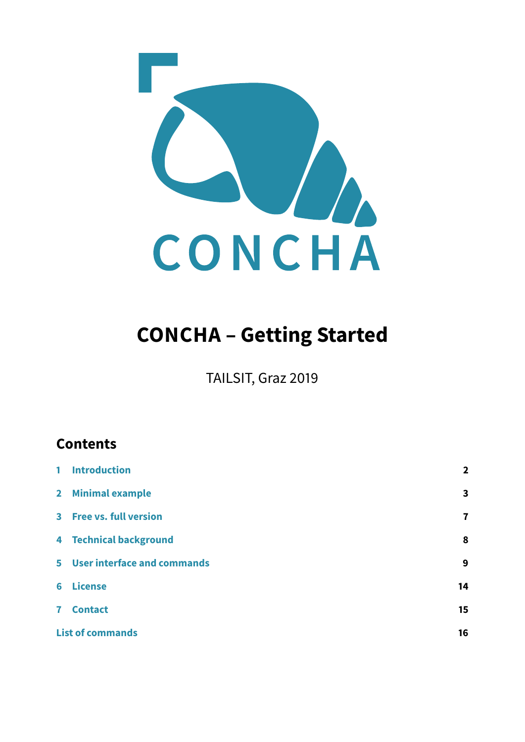

# **CONCHA – Getting Started**

TAILSIT, Graz 2019

# **Contents**

| 1 Introduction                | $\overline{\mathbf{2}}$ |
|-------------------------------|-------------------------|
| 2 Minimal example             | $\overline{\mathbf{3}}$ |
| 3 Free vs. full version       | $\overline{\mathbf{r}}$ |
| <b>4 Technical background</b> | 8                       |
| 5 User interface and commands | 9                       |
| <b>6</b> License              | 14                      |
| 7 Contact                     | 15                      |
| <b>List of commands</b>       | 16                      |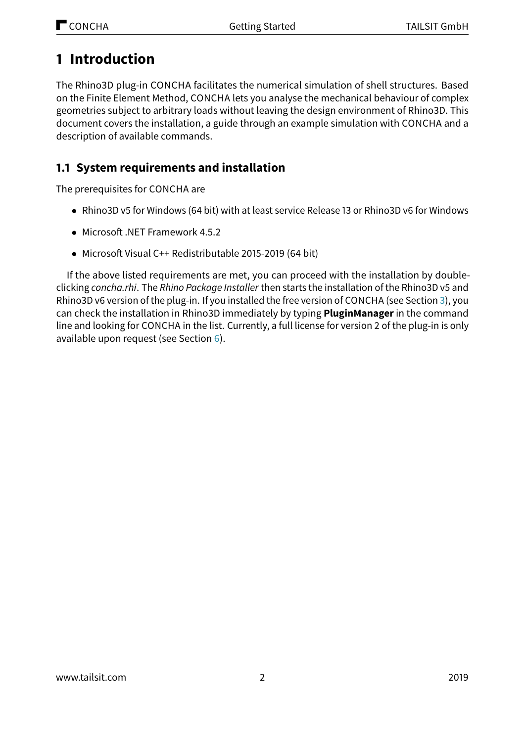# <span id="page-1-0"></span>**1 Introduction**

The Rhino3D plug-in CONCHA facilitates the numerical simulation of shell structures. Based on the Finite Element Method, CONCHA lets you analyse the mechanical behaviour of complex geometries subject to arbitrary loads without leaving the design environment of Rhino3D. This document covers the installation, a guide through an example simulation with CONCHA and a description of available commands.

# <span id="page-1-1"></span>**1.1 System requirements and installation**

The prerequisites for CONCHA are

- Rhino3D v5 for Windows (64 bit) with at least service Release 13 or Rhino3D v6 for Windows
- Microsoft .NET Framework  $4.5.2$
- Microsoft Visual C++ Redistributable 2015-2019 (64 bit)

If the above listed requirements are met, you can proceed with the installation by doubleclicking concha.rhi. The Rhino Package Installer then starts the installation of the Rhino3D v5 and Rhino3D v6 version of the plug-in. If you installed the free version of CONCHA (see Section [3\)](#page-6-0), you can check the installation in Rhino3D immediately by typing **PluginManager** in the command line and looking for CONCHA in the list. Currently, a full license for version 2 of the plug-in is only available upon request (see Section [6\)](#page-13-0).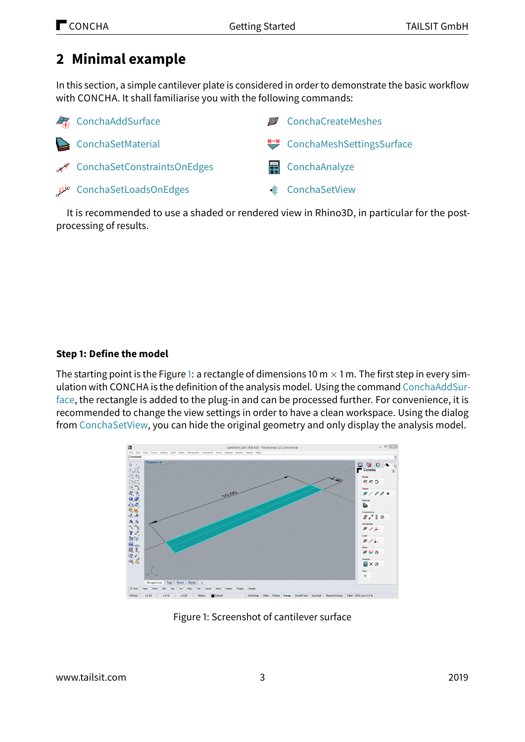# <span id="page-2-0"></span>**2 Minimal example**

In this section, a simple cantilever plate is considered in order to demonstrate the basic workflow with CONCHA. It shall familiarise you with the following commands:

| <b>Ex</b> ConchaAddSurface       | <b>■</b> ConchaCreateMeshes |
|----------------------------------|-----------------------------|
| ConchaSetMaterial                | ConchaMeshSettingsSurface   |
| ConchaSetConstraintsOnEdges ہجمہ | 号 ConchaAnalyze             |
| ConchaSetLoadsOnEdges طلل        | <b>€</b> ConchaSetView      |

It is recommended to use a shaded or rendered view in Rhino3D, in particular for the postprocessing of results.

### **Step 1: Define the model**

The starting point is the Figure [1:](#page-2-1) a rectangle of dimensions 10 m  $\times$  1 m. The first step in every simulation with CONCHA is the definition of the analysis model. Using the command [ConchaAddSur](#page-8-1)[face,](#page-8-1) the rectangle is added to the plug-in and can be processed further. For convenience, it is recommended to change the view settings in order to have a clean workspace. Using the dialog from [ConchaSetView,](#page-11-3) you can hide the original geometry and only display the analysis model.



<span id="page-2-1"></span>Figure 1: Screenshot of cantilever surface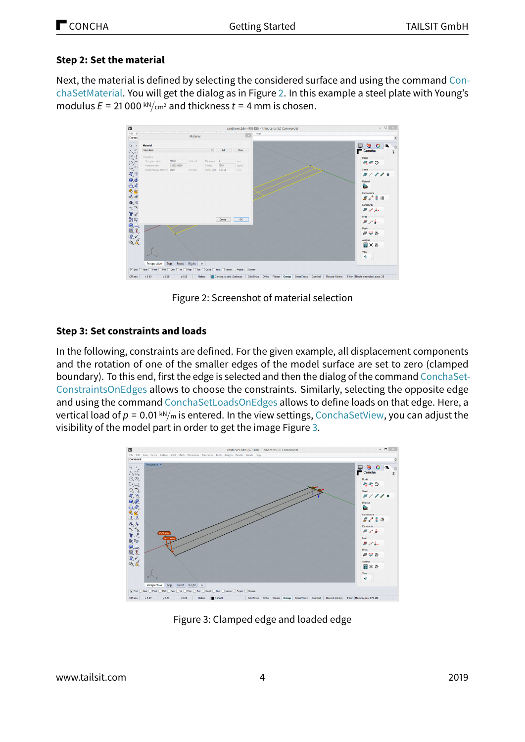### **Step 2: Set the material**

Next, the material is defined by selecting the considered surface and using the command [Con](#page-9-0)[chaSetMaterial.](#page-9-0) You will get the dialog as in Figure [2.](#page-3-0) In this example a steel plate with Young's modulus  $E = 21000 \frac{kN}{cm^2}$  and thickness  $t = 4$  mm is chosen.



<span id="page-3-0"></span>Figure 2: Screenshot of material selection

### **Step 3: Set constraints and loads**

In the following, constraints are defined. For the given example, all displacement components and the rotation of one of the smaller edges of the model surface are set to zero (clamped boundary). To this end, first the edge is selected and then the dialog of the command [ConchaSet-](#page-9-1)[ConstraintsOnEdges](#page-9-1) allows to choose the constraints. Similarly, selecting the opposite edge and using the command [ConchaSetLoadsOnEdges](#page-10-0) allows to define loads on that edge. Here, a vertical load of  $p = 0.01 \text{ km/m}$  is entered. In the view settings, [ConchaSetView,](#page-11-3) you can adjust the visibility of the model part in order to get the image Figure [3.](#page-3-1)



<span id="page-3-1"></span>Figure 3: Clamped edge and loaded edge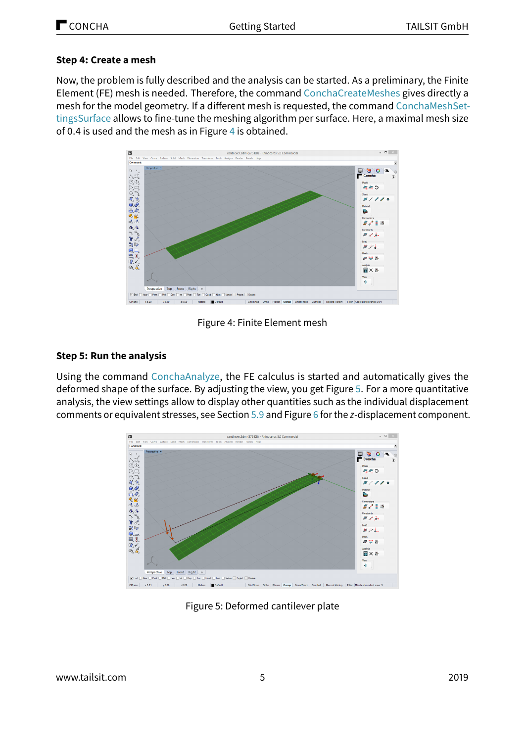#### **Step 4: Create a mesh**

Now, the problem is fully described and the analysis can be started. As a preliminary, the Finite Element (FE) mesh is needed. Therefore, the command [ConchaCreateMeshes](#page-11-0) gives directly a mesh for the model geometry. If a different mesh is requested, the command [ConchaMeshSet](#page-11-1)[tingsSurface](#page-11-1) allows to fine-tune the meshing algorithm per surface. Here, a maximal mesh size of 0.4 is used and the mesh as in Figure [4](#page-4-0) is obtained.



<span id="page-4-0"></span>Figure 4: Finite Element mesh

#### **Step 5: Run the analysis**

Using the command [ConchaAnalyze,](#page-11-2) the FE calculus is started and automatically gives the deformed shape of the surface. By adjusting the view, you get Figure [5.](#page-4-1) For a more quantitative analysis, the view settings allow to display other quantities such as the individual displacement comments or equivalent stresses, see Section [5.9](#page-11-4) and Figure [6](#page-5-0) for the z-displacement component.



<span id="page-4-1"></span>Figure 5: Deformed cantilever plate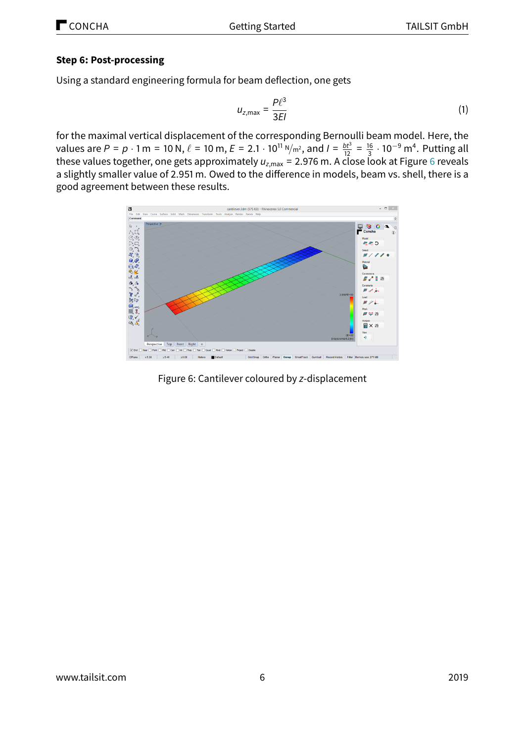#### **Step 6: Post-processing**

Using a standard engineering formula for beam deflection, one gets

$$
u_{z,\text{max}} = \frac{P\ell^3}{3EI} \tag{1}
$$

for the maximal vertical displacement of the corresponding Bernoulli beam model. Here, the values are  $P = p \cdot 1$  m = 10 N,  $\ell = 10$  m,  $E = 2.1 \cdot 10^{11}$  N/m<sup>2</sup>, and  $I = \frac{bt^3}{12} = \frac{16}{3}$  $\frac{16}{3}$  · 10<sup>−9</sup> m<sup>4</sup>. Putting all these values together, one gets approximately  $u_{z, max}$  = 2.97[6](#page-5-0) m. A close look at Figure 6 reveals a slightly smaller value of 2.951 m. Owed to the difference in models, beam vs. shell, there is a good agreement between these results.



<span id="page-5-0"></span>Figure 6: Cantilever coloured by z-displacement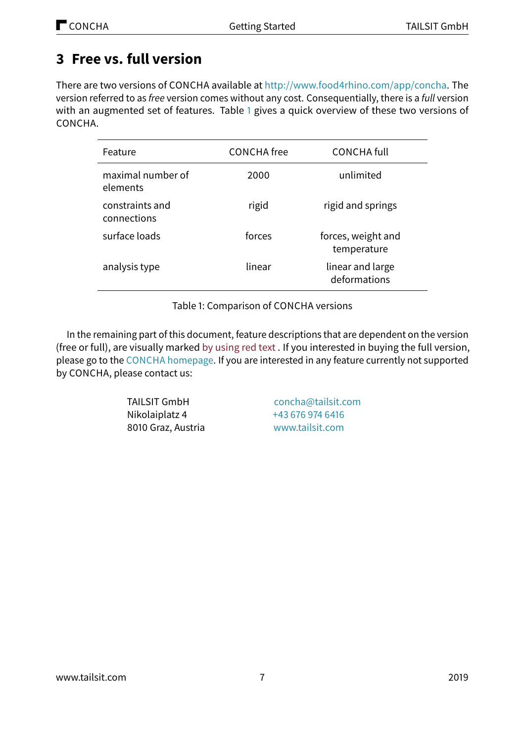# <span id="page-6-0"></span>**3 Free vs. full version**

There are two versions of CONCHA available at [http://www.food4rhino.com/app/concha.](http://www.food4rhino.com/app/concha) The version referred to as free version comes without any cost. Consequentially, there is a full version with an augmented set of features. Table [1](#page-6-1) gives a quick overview of these two versions of CONCHA.

| Feature                        | <b>CONCHA</b> free | <b>CONCHA full</b>                |
|--------------------------------|--------------------|-----------------------------------|
| maximal number of<br>elements  | 2000               | unlimited                         |
| constraints and<br>connections | rigid              | rigid and springs                 |
| surface loads                  | forces             | forces, weight and<br>temperature |
| analysis type                  | linear             | linear and large<br>deformations  |

<span id="page-6-1"></span>Table 1: Comparison of CONCHA versions

In the remaining part of this document, feature descriptions that are dependent on the version (free or full), are visually marked by using red text . If you interested in buying the full version, please go to the CONCHA [homepage.](http://concha.tailsit.com) If you are interested in any feature currently not supported by CONCHA, please contact us:

> TAILSIT GmbH Nikolaiplatz 4 8010 Graz, Austria

[concha@tailsit.com](mailto:concha@tailsit.com) [+43 676 974 6416](tel:+436769746416) [www.tailsit.com](http://www.tailsit.com)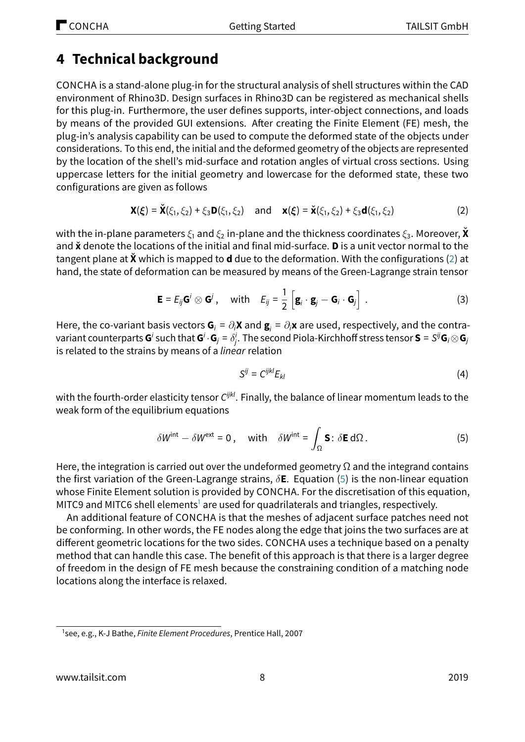# <span id="page-7-0"></span>**4 Technical background**

CONCHA is a stand-alone plug-in for the structural analysis of shell structures within the CAD environment of Rhino3D. Design surfaces in Rhino3D can be registered as mechanical shells for this plug-in. Furthermore, the user defines supports, inter-object connections, and loads by means of the provided GUI extensions. After creating the Finite Element (FE) mesh, the plug-in's analysis capability can be used to compute the deformed state of the objects under considerations. To this end, the initial and the deformed geometry of the objects are represented by the location of the shell's mid-surface and rotation angles of virtual cross sections. Using uppercase letters for the initial geometry and lowercase for the deformed state, these two configurations are given as follows

<span id="page-7-1"></span>
$$
\mathbf{X}(\xi) = \check{\mathbf{X}}(\xi_1, \xi_2) + \xi_3 \mathbf{D}(\xi_1, \xi_2) \text{ and } \mathbf{x}(\xi) = \check{\mathbf{x}}(\xi_1, \xi_2) + \xi_3 \mathbf{d}(\xi_1, \xi_2)
$$
 (2)

with the in-plane parameters  $\xi_1$  and  $\xi_2$  in-plane and the thickness coordinates  $\xi_3$ . Moreover, **X** and ˇ**x** denote the locations of the initial and final mid-surface. **D** is a unit vector normal to the tangent plane at **X**ˇ which is mapped to **d** due to the deformation. With the configurations [\(2\)](#page-7-1) at hand, the state of deformation can be measured by means of the Green-Lagrange strain tensor

$$
\mathbf{E} = E_{ij} \mathbf{G}^i \otimes \mathbf{G}^j, \quad \text{with} \quad E_{ij} = \frac{1}{2} \left[ \mathbf{g}_i \cdot \mathbf{g}_j - \mathbf{G}_i \cdot \mathbf{G}_j \right]. \tag{3}
$$

Here, the co-variant basis vectors  $G_i = \partial_i X$  and  $g_i = \partial_i x$  are used, respectively, and the contra $s$  variant counterparts  $G^i$  such that  $G^i\cdot G_j=\delta^i_j.$  The second Piola-Kirchhoff stress tensor  $S=S^{ij}G_i\otimes G_j$ is related to the strains by means of a *linear* relation

$$
S^{ij} = C^{ijkl} E_{kl} \tag{4}
$$

with the fourth-order elasticity tensor  $C^{ijkl}$ . Finally, the balance of linear momentum leads to the weak form of the equilibrium equations

<span id="page-7-2"></span>
$$
\delta W^{\text{int}} - \delta W^{\text{ext}} = 0, \quad \text{with} \quad \delta W^{\text{int}} = \int_{\Omega} \mathbf{S} : \delta \mathbf{E} \, d\Omega. \tag{5}
$$

Here, the integration is carried out over the undeformed geometry  $\Omega$  and the integrand contains the first variation of the Green-Lagrange strains, δ**E**. Equation [\(5\)](#page-7-2) is the non-linear equation whose Finite Element solution is provided by CONCHA. For the discretisation of this equation, MITC9 and MITC6 shell elements<sup>[1](#page-7-3)</sup> are used for quadrilaterals and triangles, respectively.

An additional feature of CONCHA is that the meshes of adjacent surface patches need not be conforming. In other words, the FE nodes along the edge that joins the two surfaces are at different geometric locations for the two sides. CONCHA uses a technique based on a penalty method that can handle this case. The benefit of this approach is that there is a larger degree of freedom in the design of FE mesh because the constraining condition of a matching node locations along the interface is relaxed.

<span id="page-7-3"></span><sup>&</sup>lt;sup>1</sup>see, e.g., K-J Bathe, *Finite Element Procedures*, Prentice Hall, 2007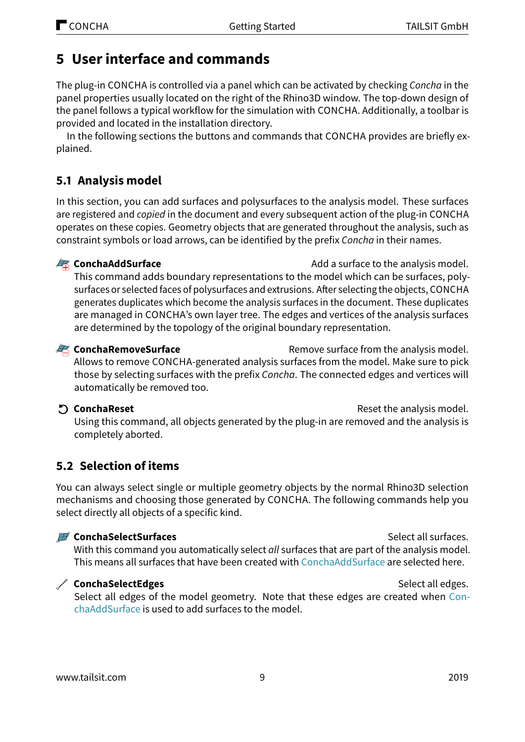# <span id="page-8-2"></span><span id="page-8-0"></span>**5 User interface and commands**

The plug-in CONCHA is controlled via a panel which can be activated by checking Concha in the panel properties usually located on the right of the Rhino3D window. The top-down design of the panel follows a typical workflow for the simulation with CONCHA. Additionally, a toolbar is provided and located in the installation directory.

In the following sections the buttons and commands that CONCHA provides are briefly explained.

# **5.1 Analysis model**

In this section, you can add surfaces and polysurfaces to the analysis model. These surfaces are registered and copied in the document and every subsequent action of the plug-in CONCHA operates on these copies. Geometry objects that are generated throughout the analysis, such as constraint symbols or load arrows, can be identified by the prefix Concha in their names.

<span id="page-8-1"></span>**Example 2** ConchaAddSurface **Adders** Add a surface to the analysis model.

This command adds boundary representations to the model which can be surfaces, polysurfaces or selected faces of polysurfaces and extrusions. After selecting the objects, CONCHA generates duplicates which become the analysis surfaces in the document. These duplicates are managed in CONCHA's own layer tree. The edges and vertices of the analysis surfaces are determined by the topology of the original boundary representation.

**ConchaRemoveSurface** Remove surface from the analysis model.

Allows to remove CONCHA-generated analysis surfaces from the model. Make sure to pick those by selecting surfaces with the prefix Concha. The connected edges and vertices will automatically be removed too.

**ConchaReset ConchaReset Reset the analysis model.** 

Using this command, all objects generated by the plug-in are removed and the analysis is completely aborted.

## **5.2 Selection of items**

You can always select single or multiple geometry objects by the normal Rhino3D selection mechanisms and choosing those generated by CONCHA. The following commands help you select directly all objects of a specific kind.

### **Example 2** ConchaSelectSurfaces **Select all surfaces.** Select all surfaces.

With this command you automatically select all surfaces that are part of the analysis model. This means all surfaces that have been created with [ConchaAddSurface](#page-8-1) are selected here.

## **ConchaSelectEdges** Select all edges.

Select all edges of the model geometry. Note that these edges are created when [Con](#page-8-1)[chaAddSurface](#page-8-1) is used to add surfaces to the model.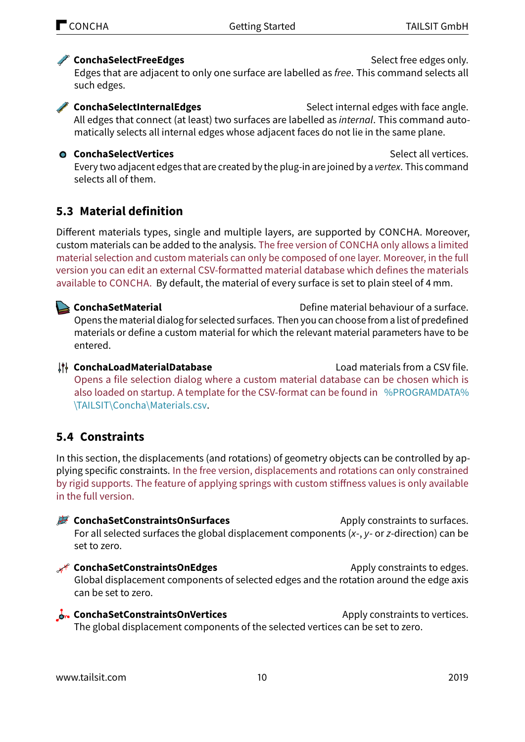## <span id="page-9-2"></span>**ConchaSelectFreeEdges** Select free edges only.

Edges that are adjacent to only one surface are labelled as free. This command selects all such edges.

**ConchaSelectInternalEdges** Select internal edges with face angle. All edges that connect (at least) two surfaces are labelled as *internal*. This command automatically selects all internal edges whose adjacent faces do not lie in the same plane.

## **ConchaSelectVertices** Select all vertices.

Every two adjacent edges that are created by the plug-in are joined by a vertex. This command selects all of them.

# **5.3 Material definition**

Different materials types, single and multiple layers, are supported by CONCHA. Moreover, custom materials can be added to the analysis. The free version of CONCHA only allows a limited material selection and custom materials can only be composed of one layer. Moreover, in the full version you can edit an external CSV-formatted material database which defines the materials available to CONCHA. By default, the material of every surface is set to plain steel of 4 mm.

<span id="page-9-0"></span>**ConchaSetMaterial** Define material behaviour of a surface. Opens the material dialog for selected surfaces. Then you can choose from a list of predefined materials or define a custom material for which the relevant material parameters have to be entered.

**ConchaLoadMaterialDatabase** Load materials from a CSV file. Opens a file selection dialog where a custom material database can be chosen which is also loaded on startup. A template for the CSV-format can be found in [%PROGRAMDATA%](%PROGRAMDATA%\TAILSIT\Concha\Materials.csv) [\TAILSIT\Concha\Materials.csv.](%PROGRAMDATA%\TAILSIT\Concha\Materials.csv)

# **5.4 Constraints**

In this section, the displacements (and rotations) of geometry objects can be controlled by applying specific constraints. In the free version, displacements and rotations can only constrained by rigid supports. The feature of applying springs with custom stiffness values is only available in the full version.

**ConchaSetConstraintsOnSurfaces** Apply constraints to surfaces. For all selected surfaces the global displacement components  $(x-$ ,  $y-$  or  $z$ -direction) can be set to zero.

- <span id="page-9-1"></span>**R** ConchaSetConstraintsOnEdges **Apply constraints to edges.** Global displacement components of selected edges and the rotation around the edge axis can be set to zero.
- **ConchaSetConstraintsOnVertices** Apply constraints to vertices. The global displacement components of the selected vertices can be set to zero.

<www.tailsit.com> 10 2019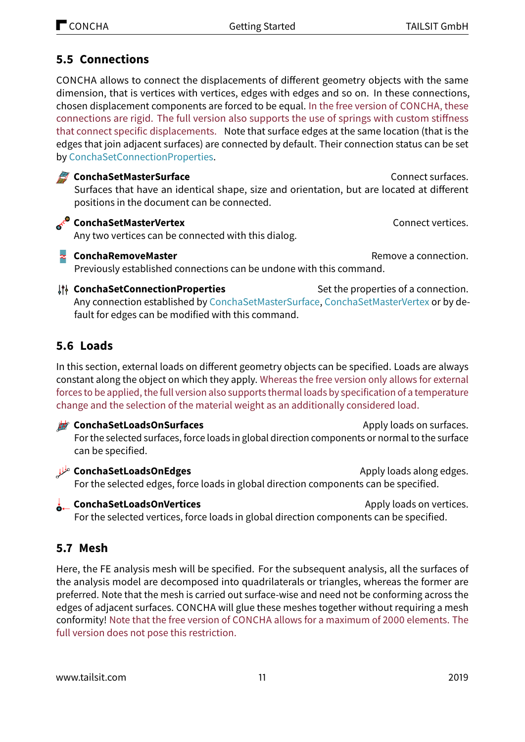# <span id="page-10-4"></span>**5.5 Connections**

CONCHA allows to connect the displacements of different geometry objects with the same dimension, that is vertices with vertices, edges with edges and so on. In these connections, chosen displacement components are forced to be equal. In the free version of CONCHA, these connections are rigid. The full version also supports the use of springs with custom stiffness that connect specific displacements. Note that surface edges at the same location (that is the edges that join adjacent surfaces) are connected by default. Their connection status can be set by [ConchaSetConnectionProperties.](#page-10-1)

### <span id="page-10-2"></span>**ConchaSetMasterSurface** Connect surfaces.

Surfaces that have an identical shape, size and orientation, but are located at different positions in the document can be connected.

## <span id="page-10-3"></span>**ConchaSetMasterVertex** Connect vertices.

Any two vertices can be connected with this dialog.

**ConchaRemoveMaster RemoveMaster Remove a connection.** 

Previously established connections can be undone with this command.

<span id="page-10-1"></span>**ConchaSetConnectionProperties** Set the properties of a connection. Any connection established by [ConchaSetMasterSurface,](#page-10-2) [ConchaSetMasterVertex](#page-10-3) or by default for edges can be modified with this command.

# **5.6 Loads**

In this section, external loads on different geometry objects can be specified. Loads are always constant along the object on which they apply. Whereas the free version only allows for external forces to be applied, the full version also supports thermal loads by specification of a temperature change and the selection of the material weight as an additionally considered load.

## **ConchaSetLoadsOnSurfaces** Apply loads on surfaces. For the selected surfaces, force loads in global direction components or normal to the surface can be specified.

<span id="page-10-0"></span>**ConchaSetLoadsOnEdges ConchaSetLoadsOnEdges Apply loads along edges.** For the selected edges, force loads in global direction components can be specified.

**ConchaSetLoadsOnVertices** Apply loads on vertices. For the selected vertices, force loads in global direction components can be specified.

# **5.7 Mesh**

Here, the FE analysis mesh will be specified. For the subsequent analysis, all the surfaces of the analysis model are decomposed into quadrilaterals or triangles, whereas the former are preferred. Note that the mesh is carried out surface-wise and need not be conforming across the edges of adjacent surfaces. CONCHA will glue these meshes together without requiring a mesh conformity! Note that the free version of CONCHA allows for a maximum of 2000 elements. The full version does not pose this restriction.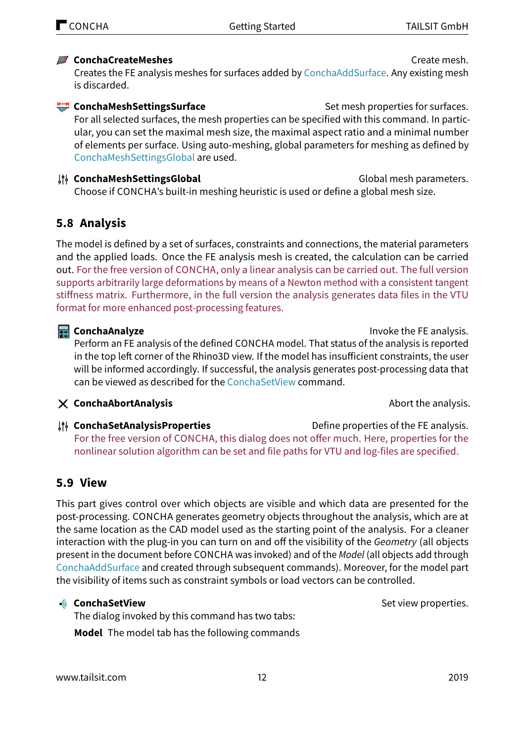### <span id="page-11-6"></span><span id="page-11-0"></span>**ConchaCreateMeshes** Create mesh.

Creates the FE analysis meshes for surfaces added by [ConchaAddSurface.](#page-8-1) Any existing mesh is discarded.

<span id="page-11-1"></span>**ConchaMeshSettingsSurface** Set mesh properties for surfaces. For all selected surfaces, the mesh properties can be specified with this command. In particular, you can set the maximal mesh size, the maximal aspect ratio and a minimal number of elements per surface. Using auto-meshing, global parameters for meshing as defined by [ConchaMeshSettingsGlobal](#page-11-5) are used.

#### <span id="page-11-5"></span>**It ConchaMeshSettingsGlobal distribution of the ConchaMeshSettingsGlobal distribution of the Conchameters.** Choose if CONCHA's built-in meshing heuristic is used or define a global mesh size.

## **5.8 Analysis**

The model is defined by a set of surfaces, constraints and connections, the material parameters and the applied loads. Once the FE analysis mesh is created, the calculation can be carried out. For the free version of CONCHA, only a linear analysis can be carried out. The full version supports arbitrarily large deformations by means of a Newton method with a consistent tangent stiffness matrix. Furthermore, in the full version the analysis generates data files in the VTU format for more enhanced post-processing features.

### <span id="page-11-2"></span>**ConchaAnalyze Invoke the FE analysis.**

Perform an FE analysis of the defined CONCHA model. That status of the analysis is reported in the top left corner of the Rhino3D view. If the model has insufficient constraints, the user will be informed accordingly. If successful, the analysis generates post-processing data that can be viewed as described for the [ConchaSetView](#page-11-3) command.

### **ConchaAbortAnalysis** Abort the analysis.

**ConchaSetAnalysisProperties** Define properties of the FE analysis. For the free version of CONCHA, this dialog does not offer much. Here, properties for the nonlinear solution algorithm can be set and file paths for VTU and log-files are specified.

## <span id="page-11-4"></span>**5.9 View**

This part gives control over which objects are visible and which data are presented for the post-processing. CONCHA generates geometry objects throughout the analysis, which are at the same location as the CAD model used as the starting point of the analysis. For a cleaner interaction with the plug-in you can turn on and off the visibility of the Geometry (all objects present in the document before CONCHA was invoked) and of the Model (all objects add through [ConchaAddSurface](#page-8-1) and created through subsequent commands). Moreover, for the model part the visibility of items such as constraint symbols or load vectors can be controlled.

The dialog invoked by this command has two tabs: **Model** The model tab has the following commands

<span id="page-11-3"></span>← **ConchaSetView** Set view properties.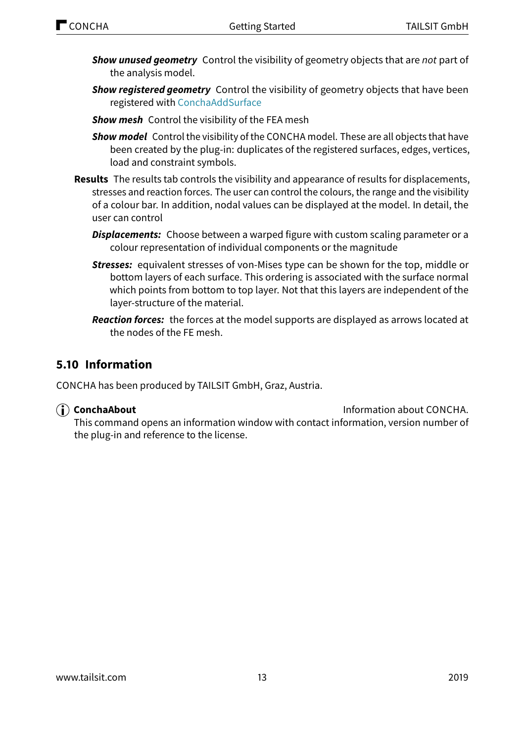- <span id="page-12-0"></span>**Show unused geometry** Control the visibility of geometry objects that are not part of the analysis model.
- **Show registered geometry** Control the visibility of geometry objects that have been registered with [ConchaAddSurface](#page-8-1)
- **Show mesh** Control the visibility of the FEA mesh
- **Show model** Control the visibility of the CONCHA model. These are all objects that have been created by the plug-in: duplicates of the registered surfaces, edges, vertices, load and constraint symbols.
- **Results** The results tab controls the visibility and appearance of results for displacements, stresses and reaction forces. The user can control the colours, the range and the visibility of a colour bar. In addition, nodal values can be displayed at the model. In detail, the user can control
	- **Displacements:** Choose between a warped figure with custom scaling parameter or a colour representation of individual components or the magnitude
	- **Stresses:** equivalent stresses of von-Mises type can be shown for the top, middle or bottom layers of each surface. This ordering is associated with the surface normal which points from bottom to top layer. Not that this layers are independent of the layer-structure of the material.
	- **Reaction forces:** the forces at the model supports are displayed as arrows located at the nodes of the FE mesh.

## **5.10 Information**

CONCHA has been produced by TAILSIT GmbH, Graz, Austria.

**ConchaAbout ConchaAbout Information about CONCHA.** 

This command opens an information window with contact information, version number of the plug-in and reference to the license.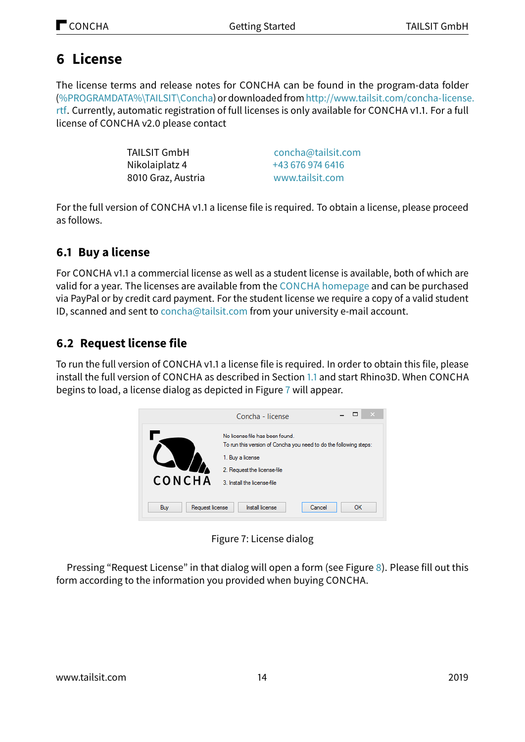# <span id="page-13-0"></span>**6 License**

The license terms and release notes for CONCHA can be found in the program-data folder [\(%PROGRAMDATA%\TAILSIT\Concha\)](%PROGRAMDATA%\TAILSIT\Concha) or downloadedfrom[http://www.tailsit.com/concha-license](http://www.tailsit.com/concha-license.rtf). [rtf.](http://www.tailsit.com/concha-license.rtf) Currently, automatic registration of full licenses is only available for CONCHA v1.1. For a full license of CONCHA v2.0 please contact

| <b>TAILSIT GmbH</b> | concha@tailsit.com |
|---------------------|--------------------|
| Nikolaiplatz 4      | +43 676 974 6416   |
| 8010 Graz, Austria  | www.tailsit.com    |

For the full version of CONCHA v1.1 a license file is required. To obtain a license, please proceed as follows.

# **6.1 Buy a license**

For CONCHA v1.1 a commercial license as well as a student license is available, both of which are valid for a year. The licenses are available from the CONCHA [homepage](http://concha.tailsit.com) and can be purchased via PayPal or by credit card payment. For the student license we require a copy of a valid student ID, scanned and sent to [concha@tailsit.com](mailto:concha@tailsit.com) from your university e-mail account.

# **6.2 Request license file**

To run the full version of CONCHA v1.1 a license file is required. In order to obtain this file, please install the full version of CONCHA as described in Section [1.1](#page-1-1) and start Rhino3D. When CONCHA begins to load, a license dialog as depicted in Figure [7](#page-13-1) will appear.

<span id="page-13-1"></span>

Figure 7: License dialog

Pressing "Request License" in that dialog will open a form (see Figure [8\)](#page-14-1). Please fill out this form according to the information you provided when buying CONCHA.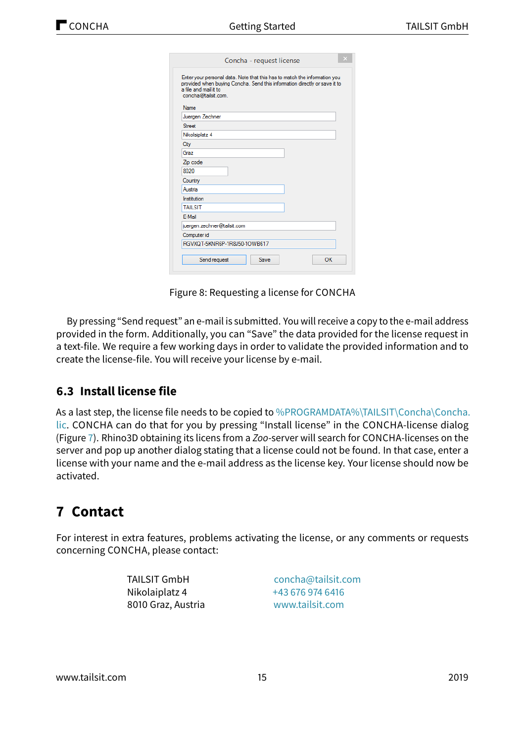| Enter your personal data. Note that this has to match the information you<br>provided when buying Concha. Send this information directly or save it to<br>a file and mail it to<br>concha@tailsit.com. |  |  |  |  |
|--------------------------------------------------------------------------------------------------------------------------------------------------------------------------------------------------------|--|--|--|--|
| <b>Name</b>                                                                                                                                                                                            |  |  |  |  |
| Juergen Zechner                                                                                                                                                                                        |  |  |  |  |
| Street                                                                                                                                                                                                 |  |  |  |  |
| Nikolaiplatz 4                                                                                                                                                                                         |  |  |  |  |
| City                                                                                                                                                                                                   |  |  |  |  |
| Graz                                                                                                                                                                                                   |  |  |  |  |
| Zip code                                                                                                                                                                                               |  |  |  |  |
| 8020                                                                                                                                                                                                   |  |  |  |  |
| Country                                                                                                                                                                                                |  |  |  |  |
| Austria                                                                                                                                                                                                |  |  |  |  |
| Institution                                                                                                                                                                                            |  |  |  |  |
| <b>TAILSIT</b>                                                                                                                                                                                         |  |  |  |  |
| E-Mail                                                                                                                                                                                                 |  |  |  |  |
| juergen.zechner@tailsit.com                                                                                                                                                                            |  |  |  |  |
| Computer id                                                                                                                                                                                            |  |  |  |  |
| RGVXQT-5KNR6P-1R8J50-1OWB617                                                                                                                                                                           |  |  |  |  |

<span id="page-14-1"></span>Figure 8: Requesting a license for CONCHA

By pressing "Send request" an e-mail is submitted. You will receive a copy to the e-mail address provided in the form. Additionally, you can "Save" the data provided for the license request in a text-file. We require a few working days in order to validate the provided information and to create the license-file. You will receive your license by e-mail.

## **6.3 Install license file**

As a last step, the license file needs to be copied to [%PROGRAMDATA%\TAILSIT\Concha\Concha.](%PROGRAMDATA%\TAILSIT\Concha\Concha.lic) [lic.](%PROGRAMDATA%\TAILSIT\Concha\Concha.lic) CONCHA can do that for you by pressing "Install license" in the CONCHA-license dialog (Figure [7\)](#page-13-1). Rhino3D obtaining its licens from a Zoo-server will search for CONCHA-licenses on the server and pop up another dialog stating that a license could not be found. In that case, enter a license with your name and the e-mail address as the license key. Your license should now be activated.

# <span id="page-14-0"></span>**7 Contact**

For interest in extra features, problems activating the license, or any comments or requests concerning CONCHA, please contact:

> TAILSIT GmbH Nikolaiplatz 4 8010 Graz, Austria

[concha@tailsit.com](mailto:concha@tailsit.com) [+43 676 974 6416](tel:+436769746416) [www.tailsit.com](http://www.tailsit.com)